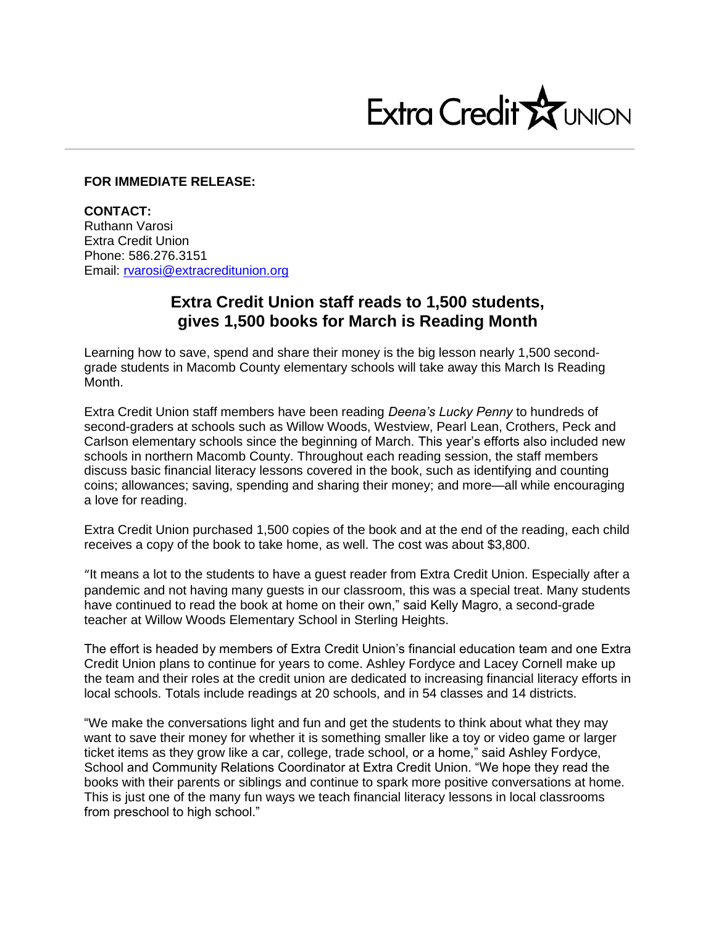

## **FOR IMMEDIATE RELEASE:**

**CONTACT:** Ruthann Varosi Extra Credit Union Phone: 586.276.3151 Email: [rvarosi@extracreditunion.org](mailto:rvarosi@extracreditunion.org)

## **Extra Credit Union staff reads to 1,500 students, gives 1,500 books for March is Reading Month**

Learning how to save, spend and share their money is the big lesson nearly 1,500 secondgrade students in Macomb County elementary schools will take away this March Is Reading Month.

Extra Credit Union staff members have been reading *Deena's Lucky Penny* to hundreds of second-graders at schools such as Willow Woods, Westview, Pearl Lean, Crothers, Peck and Carlson elementary schools since the beginning of March. This year's efforts also included new schools in northern Macomb County. Throughout each reading session, the staff members discuss basic financial literacy lessons covered in the book, such as identifying and counting coins; allowances; saving, spending and sharing their money; and more—all while encouraging a love for reading.

Extra Credit Union purchased 1,500 copies of the book and at the end of the reading, each child receives a copy of the book to take home, as well. The cost was about \$3,800.

"It means a lot to the students to have a guest reader from Extra Credit Union. Especially after a pandemic and not having many guests in our classroom, this was a special treat. Many students have continued to read the book at home on their own," said Kelly Magro, a second-grade teacher at Willow Woods Elementary School in Sterling Heights.

The effort is headed by members of Extra Credit Union's financial education team and one Extra Credit Union plans to continue for years to come. Ashley Fordyce and Lacey Cornell make up the team and their roles at the credit union are dedicated to increasing financial literacy efforts in local schools. Totals include readings at 20 schools, and in 54 classes and 14 districts.

"We make the conversations light and fun and get the students to think about what they may want to save their money for whether it is something smaller like a toy or video game or larger ticket items as they grow like a car, college, trade school, or a home," said Ashley Fordyce, School and Community Relations Coordinator at Extra Credit Union. "We hope they read the books with their parents or siblings and continue to spark more positive conversations at home. This is just one of the many fun ways we teach financial literacy lessons in local classrooms from preschool to high school."